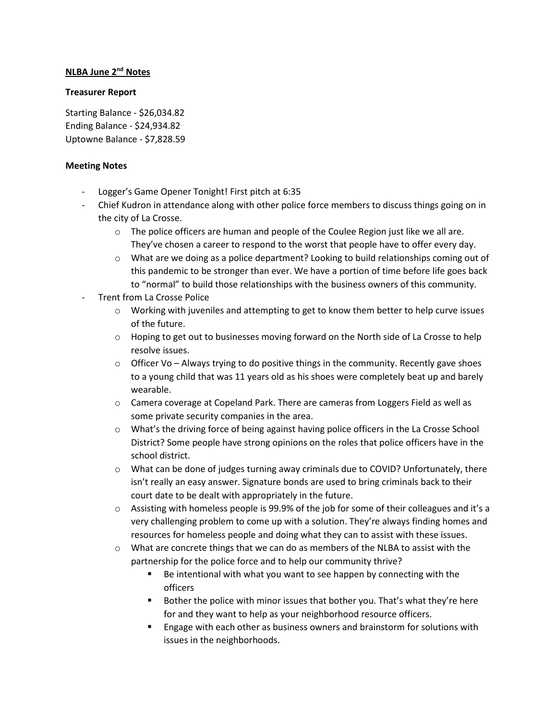## **NLBA June 2nd Notes**

## **Treasurer Report**

Starting Balance - \$26,034.82 Ending Balance - \$24,934.82 Uptowne Balance - \$7,828.59

## **Meeting Notes**

- Logger's Game Opener Tonight! First pitch at 6:35
- Chief Kudron in attendance along with other police force members to discuss things going on in the city of La Crosse.
	- $\circ$  The police officers are human and people of the Coulee Region just like we all are. They've chosen a career to respond to the worst that people have to offer every day.
	- $\circ$  What are we doing as a police department? Looking to build relationships coming out of this pandemic to be stronger than ever. We have a portion of time before life goes back to "normal" to build those relationships with the business owners of this community.
- Trent from La Crosse Police
	- o Working with juveniles and attempting to get to know them better to help curve issues of the future.
	- $\circ$  Hoping to get out to businesses moving forward on the North side of La Crosse to help resolve issues.
	- $\circ$  Officer Vo Always trying to do positive things in the community. Recently gave shoes to a young child that was 11 years old as his shoes were completely beat up and barely wearable.
	- $\circ$  Camera coverage at Copeland Park. There are cameras from Loggers Field as well as some private security companies in the area.
	- o What's the driving force of being against having police officers in the La Crosse School District? Some people have strong opinions on the roles that police officers have in the school district.
	- $\circ$  What can be done of judges turning away criminals due to COVID? Unfortunately, there isn't really an easy answer. Signature bonds are used to bring criminals back to their court date to be dealt with appropriately in the future.
	- $\circ$  Assisting with homeless people is 99.9% of the job for some of their colleagues and it's a very challenging problem to come up with a solution. They're always finding homes and resources for homeless people and doing what they can to assist with these issues.
	- $\circ$  What are concrete things that we can do as members of the NLBA to assist with the partnership for the police force and to help our community thrive?
		- Be intentional with what you want to see happen by connecting with the officers
		- **Bother the police with minor issues that bother you. That's what they're here** for and they want to help as your neighborhood resource officers.
		- Engage with each other as business owners and brainstorm for solutions with issues in the neighborhoods.